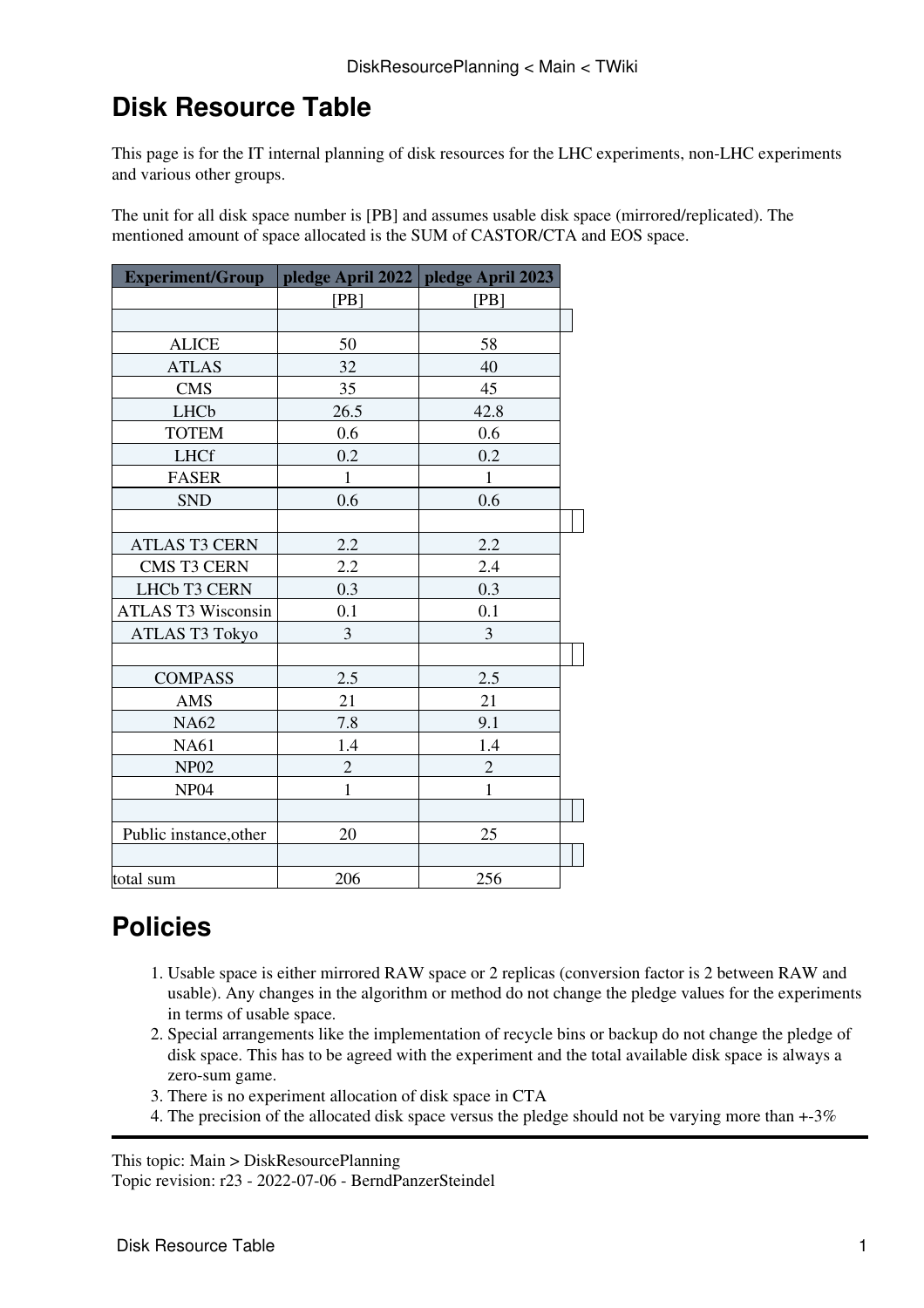## **Disk Resource Table**

This page is for the IT internal planning of disk resources for the LHC experiments, non-LHC experiments and various other groups.

The unit for all disk space number is [PB] and assumes usable disk space (mirrored/replicated). The mentioned amount of space allocated is the SUM of CASTOR/CTA and EOS space.

| Experiment/Group   pledge April 2022   pledge April 2023 |                |                |  |
|----------------------------------------------------------|----------------|----------------|--|
|                                                          | [PB]           | [PB]           |  |
|                                                          |                |                |  |
| <b>ALICE</b>                                             | 50             | 58             |  |
| <b>ATLAS</b>                                             | 32             | 40             |  |
| <b>CMS</b>                                               | 35             | 45             |  |
| LHCb                                                     | 26.5           | 42.8           |  |
| <b>TOTEM</b>                                             | 0.6            | 0.6            |  |
| <b>LHCf</b>                                              | 0.2            | 0.2            |  |
| <b>FASER</b>                                             | $\mathbf{1}$   | $\mathbf{1}$   |  |
| <b>SND</b>                                               | 0.6            | 0.6            |  |
|                                                          |                |                |  |
| <b>ATLAS T3 CERN</b>                                     | 2.2            | 2.2            |  |
| CMS T3 CERN                                              | 2.2            | 2.4            |  |
| LHCb T3 CERN                                             | 0.3            | 0.3            |  |
| ATLAS T3 Wisconsin                                       | 0.1            | 0.1            |  |
| <b>ATLAS T3 Tokyo</b>                                    | 3              | 3              |  |
|                                                          |                |                |  |
| <b>COMPASS</b>                                           | 2.5            | 2.5            |  |
| AMS                                                      | 21             | 21             |  |
| <b>NA62</b>                                              | 7.8            | 9.1            |  |
| <b>NA61</b>                                              | 1.4            | 1.4            |  |
| <b>NP02</b>                                              | $\overline{c}$ | $\overline{c}$ |  |
| NP <sub>04</sub>                                         | $\mathbf{1}$   | $\mathbf{1}$   |  |
|                                                          |                |                |  |
| Public instance, other                                   | 20             | 25             |  |
|                                                          |                |                |  |
| total sum                                                | 206            | 256            |  |

## **Policies**

- 1. Usable space is either mirrored RAW space or 2 replicas (conversion factor is 2 between RAW and usable). Any changes in the algorithm or method do not change the pledge values for the experiments in terms of usable space.
- 2. Special arrangements like the implementation of recycle bins or backup do not change the pledge of disk space. This has to be agreed with the experiment and the total available disk space is always a zero-sum game.
- 3. There is no experiment allocation of disk space in CTA
- 4. The precision of the allocated disk space versus the pledge should not be varying more than +-3%

This topic: Main > DiskResourcePlanning Topic revision: r23 - 2022-07-06 - BerndPanzerSteindel